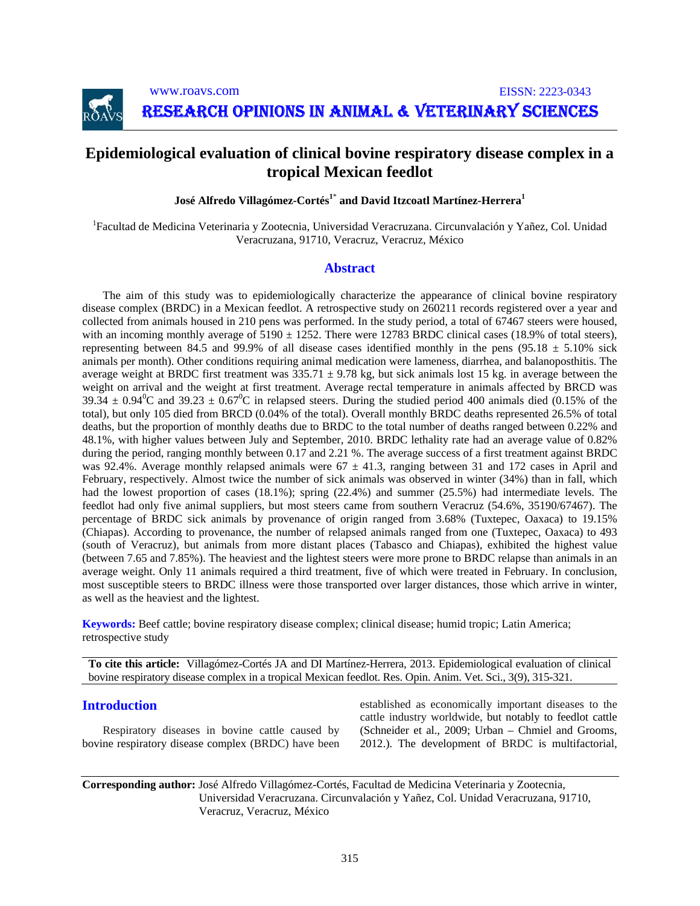

www.roavs.com EISSN: 2223-0343

RESEARCH OPINIONS IN ANIMAL & VETERINARY SCIENCES

# **Epidemiological evaluation of clinical bovine respiratory disease complex in a tropical Mexican feedlot**

**José Alfredo Villagómez-Cortés<sup>1\*</sup> and David Itzcoatl Martínez-Herrera<sup>1</sup>** 

<sup>1</sup> Facultad de Medicina Veterinaria y Zootecnia, Universidad Veracruzana. Circunvalación y Yañez, Col. Unidad Veracruzana, 91710, Veracruz, Veracruz, México

# **Abstract**

The aim of this study was to epidemiologically characterize the appearance of clinical bovine respiratory disease complex (BRDC) in a Mexican feedlot. A retrospective study on 260211 records registered over a year and collected from animals housed in 210 pens was performed. In the study period, a total of 67467 steers were housed, with an incoming monthly average of  $5190 \pm 1252$ . There were 12783 BRDC clinical cases (18.9% of total steers), representing between 84.5 and 99.9% of all disease cases identified monthly in the pens (95.18  $\pm$  5.10% sick animals per month). Other conditions requiring animal medication were lameness, diarrhea, and balanoposthitis. The average weight at BRDC first treatment was  $335.71 \pm 9.78$  kg, but sick animals lost 15 kg, in average between the weight on arrival and the weight at first treatment. Average rectal temperature in animals affected by BRCD was  $39.34 \pm 0.94\degree$ C and  $39.23 \pm 0.67\degree$ C in relapsed steers. During the studied period 400 animals died (0.15% of the total), but only 105 died from BRCD (0.04% of the total). Overall monthly BRDC deaths represented 26.5% of total deaths, but the proportion of monthly deaths due to BRDC to the total number of deaths ranged between 0.22% and 48.1%, with higher values between July and September, 2010. BRDC lethality rate had an average value of 0.82% during the period, ranging monthly between 0.17 and 2.21 %. The average success of a first treatment against BRDC was 92.4%. Average monthly relapsed animals were  $67 \pm 41.3$ , ranging between 31 and 172 cases in April and February, respectively. Almost twice the number of sick animals was observed in winter (34%) than in fall, which had the lowest proportion of cases (18.1%); spring (22.4%) and summer (25.5%) had intermediate levels. The feedlot had only five animal suppliers, but most steers came from southern Veracruz (54.6%, 35190/67467). The percentage of BRDC sick animals by provenance of origin ranged from 3.68% (Tuxtepec, Oaxaca) to 19.15% (Chiapas). According to provenance, the number of relapsed animals ranged from one (Tuxtepec, Oaxaca) to 493 (south of Veracruz), but animals from more distant places (Tabasco and Chiapas), exhibited the highest value (between 7.65 and 7.85%). The heaviest and the lightest steers were more prone to BRDC relapse than animals in an average weight. Only 11 animals required a third treatment, five of which were treated in February. In conclusion, most susceptible steers to BRDC illness were those transported over larger distances, those which arrive in winter, as well as the heaviest and the lightest.

**Keywords:** Beef cattle; bovine respiratory disease complex; clinical disease; humid tropic; Latin America; retrospective study

**To cite this article:** Villagómez-Cortés JA and DI Martínez-Herrera, 2013. Epidemiological evaluation of clinical bovine respiratory disease complex in a tropical Mexican feedlot. Res. Opin. Anim. Vet. Sci., 3(9), 315-321.

# **Introduction**

Respiratory diseases in bovine cattle caused by bovine respiratory disease complex (BRDC) have been established as economically important diseases to the cattle industry worldwide, but notably to feedlot cattle (Schneider et al., 2009; Urban – Chmiel and Grooms, 2012.). The development of BRDC is multifactorial,

# **Corresponding author:** José Alfredo Villagómez-Cortés, Facultad de Medicina Veterinaria y Zootecnia, Universidad Veracruzana. Circunvalación y Yañez, Col. Unidad Veracruzana, 91710, Veracruz, Veracruz, México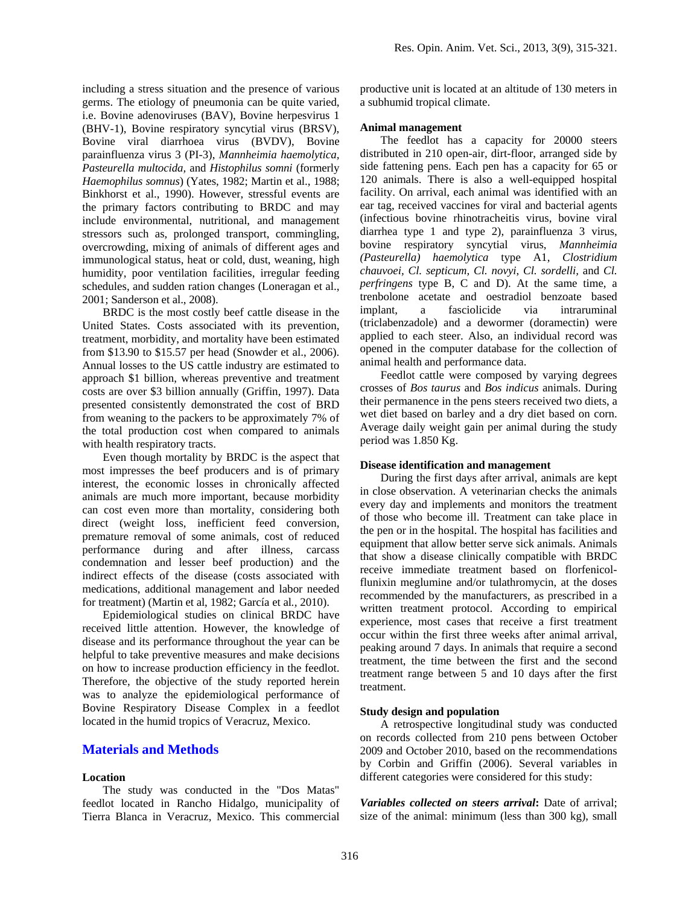including a stress situation and the presence of various germs. The etiology of pneumonia can be quite varied, i.e. Bovine adenoviruses (BAV), Bovine herpesvirus 1 (BHV-1), Bovine respiratory syncytial virus (BRSV), Bovine viral diarrhoea virus (BVDV), Bovine parainfluenza virus 3 (PI-3), *Mannheimia haemolytica, Pasteurella multocida,* and *Histophilus somni* (formerly *Haemophilus somnus*) (Yates, 1982; Martin et al., 1988; Binkhorst et al., 1990). However, stressful events are the primary factors contributing to BRDC and may include environmental, nutritional, and management stressors such as, prolonged transport, commingling, overcrowding, mixing of animals of different ages and immunological status, heat or cold, dust, weaning, high humidity, poor ventilation facilities, irregular feeding schedules, and sudden ration changes (Loneragan et al., 2001; Sanderson et al., 2008).

BRDC is the most costly beef cattle disease in the United States. Costs associated with its prevention, treatment, morbidity, and mortality have been estimated from \$13.90 to \$15.57 per head (Snowder et al., 2006). Annual losses to the US cattle industry are estimated to approach \$1 billion, whereas preventive and treatment costs are over \$3 billion annually (Griffin, 1997). Data presented consistently demonstrated the cost of BRD from weaning to the packers to be approximately 7% of the total production cost when compared to animals with health respiratory tracts.

Even though mortality by BRDC is the aspect that most impresses the beef producers and is of primary interest, the economic losses in chronically affected animals are much more important, because morbidity can cost even more than mortality, considering both direct (weight loss, inefficient feed conversion, premature removal of some animals, cost of reduced performance during and after illness, carcass condemnation and lesser beef production) and the indirect effects of the disease (costs associated with medications, additional management and labor needed for treatment) (Martin et al, 1982; García et al*.,* 2010).

Epidemiological studies on clinical BRDC have received little attention. However, the knowledge of disease and its performance throughout the year can be helpful to take preventive measures and make decisions on how to increase production efficiency in the feedlot. Therefore, the objective of the study reported herein was to analyze the epidemiological performance of Bovine Respiratory Disease Complex in a feedlot located in the humid tropics of Veracruz, Mexico.

# **Materials and Methods**

#### **Location**

The study was conducted in the "Dos Matas" feedlot located in Rancho Hidalgo, municipality of Tierra Blanca in Veracruz, Mexico. This commercial productive unit is located at an altitude of 130 meters in a subhumid tropical climate.

#### **Animal management**

The feedlot has a capacity for 20000 steers distributed in 210 open-air, dirt-floor, arranged side by side fattening pens. Each pen has a capacity for 65 or 120 animals. There is also a well-equipped hospital facility. On arrival, each animal was identified with an ear tag, received vaccines for viral and bacterial agents (infectious bovine rhinotracheitis virus, bovine viral diarrhea type 1 and type 2), parainfluenza 3 virus, bovine respiratory syncytial virus, *Mannheimia (Pasteurella) haemolytica* type A1, *Clostridium chauvoei, Cl. septicum, Cl. novyi*, *Cl. sordelli,* and *Cl. perfringens* type B, C and D). At the same time, a trenbolone acetate and oestradiol benzoate based implant, a fasciolicide via intraruminal (triclabenzadole) and a dewormer (doramectin) were applied to each steer. Also, an individual record was opened in the computer database for the collection of animal health and performance data.

Feedlot cattle were composed by varying degrees crosses of *Bos taurus* and *Bos indicus* animals. During their permanence in the pens steers received two diets, a wet diet based on barley and a dry diet based on corn. Average daily weight gain per animal during the study period was 1.850 Kg.

# **Disease identification and management**

During the first days after arrival, animals are kept in close observation. A veterinarian checks the animals every day and implements and monitors the treatment of those who become ill. Treatment can take place in the pen or in the hospital. The hospital has facilities and equipment that allow better serve sick animals. Animals that show a disease clinically compatible with BRDC receive immediate treatment based on florfenicolflunixin meglumine and/or tulathromycin, at the doses recommended by the manufacturers, as prescribed in a written treatment protocol. According to empirical experience, most cases that receive a first treatment occur within the first three weeks after animal arrival, peaking around 7 days. In animals that require a second treatment, the time between the first and the second treatment range between 5 and 10 days after the first treatment.

#### **Study design and population**

A retrospective longitudinal study was conducted on records collected from 210 pens between October 2009 and October 2010, based on the recommendations by Corbin and Griffin (2006). Several variables in different categories were considered for this study:

*Variables collected on steers arrival***:** Date of arrival; size of the animal: minimum (less than 300 kg), small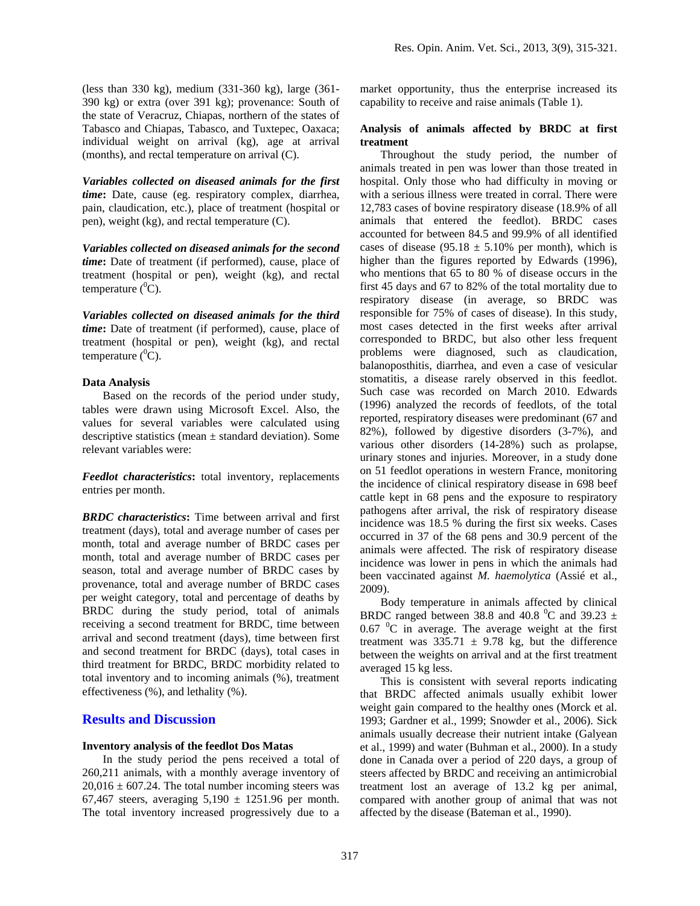*Variables collected on diseased animals for the first time***:** Date, cause (eg. respiratory complex, diarrhea, pain, claudication, etc.), place of treatment (hospital or pen), weight (kg), and rectal temperature (C).

(months), and rectal temperature on arrival (C).

*Variables collected on diseased animals for the second time***:** Date of treatment (if performed), cause, place of treatment (hospital or pen), weight (kg), and rectal temperature  $(^0C)$ .

*Variables collected on diseased animals for the third time***:** Date of treatment (if performed), cause, place of treatment (hospital or pen), weight (kg), and rectal temperature  $(^0C)$ .

# **Data Analysis**

Based on the records of the period under study, tables were drawn using Microsoft Excel. Also, the values for several variables were calculated using descriptive statistics (mean  $\pm$  standard deviation). Some relevant variables were:

*Feedlot characteristics***:** total inventory, replacements entries per month.

*BRDC characteristics***:** Time between arrival and first treatment (days), total and average number of cases per month, total and average number of BRDC cases per month, total and average number of BRDC cases per season, total and average number of BRDC cases by provenance, total and average number of BRDC cases per weight category, total and percentage of deaths by BRDC during the study period, total of animals receiving a second treatment for BRDC, time between arrival and second treatment (days), time between first and second treatment for BRDC (days), total cases in third treatment for BRDC, BRDC morbidity related to total inventory and to incoming animals (%), treatment effectiveness (%), and lethality (%).

# **Results and Discussion**

# **Inventory analysis of the feedlot Dos Matas**

In the study period the pens received a total of 260,211 animals, with a monthly average inventory of  $20,016 \pm 607.24$ . The total number incoming steers was 67,467 steers, averaging  $5,190 \pm 1251.96$  per month. The total inventory increased progressively due to a

market opportunity, thus the enterprise increased its capability to receive and raise animals (Table 1).

# **Analysis of animals affected by BRDC at first treatment**

Throughout the study period, the number of animals treated in pen was lower than those treated in hospital. Only those who had difficulty in moving or with a serious illness were treated in corral. There were 12,783 cases of bovine respiratory disease (18.9% of all animals that entered the feedlot). BRDC cases accounted for between 84.5 and 99.9% of all identified cases of disease (95.18  $\pm$  5.10% per month), which is higher than the figures reported by Edwards (1996), who mentions that 65 to 80 % of disease occurs in the first 45 days and 67 to 82% of the total mortality due to respiratory disease (in average, so BRDC was responsible for 75% of cases of disease). In this study, most cases detected in the first weeks after arrival corresponded to BRDC, but also other less frequent problems were diagnosed, such as claudication, balanoposthitis, diarrhea, and even a case of vesicular stomatitis, a disease rarely observed in this feedlot. Such case was recorded on March 2010. Edwards (1996) analyzed the records of feedlots, of the total reported, respiratory diseases were predominant (67 and 82%), followed by digestive disorders (3-7%), and various other disorders (14-28%) such as prolapse, urinary stones and injuries. Moreover, in a study done on 51 feedlot operations in western France, monitoring the incidence of clinical respiratory disease in 698 beef cattle kept in 68 pens and the exposure to respiratory pathogens after arrival, the risk of respiratory disease incidence was 18.5 % during the first six weeks. Cases occurred in 37 of the 68 pens and 30.9 percent of the animals were affected. The risk of respiratory disease incidence was lower in pens in which the animals had been vaccinated against *M. haemolytica* (Assié et al., 2009).

Body temperature in animals affected by clinical BRDC ranged between 38.8 and 40.8  $^0$ C and 39.23  $\pm$ 0.67  $\mathrm{^{0}C}$  in average. The average weight at the first treatment was  $335.71 \pm 9.78$  kg, but the difference between the weights on arrival and at the first treatment averaged 15 kg less.

This is consistent with several reports indicating that BRDC affected animals usually exhibit lower weight gain compared to the healthy ones (Morck et al. 1993; Gardner et al., 1999; Snowder et al., 2006). Sick animals usually decrease their nutrient intake (Galyean et al., 1999) and water (Buhman et al., 2000). In a study done in Canada over a period of 220 days, a group of steers affected by BRDC and receiving an antimicrobial treatment lost an average of 13.2 kg per animal, compared with another group of animal that was not affected by the disease (Bateman et al., 1990).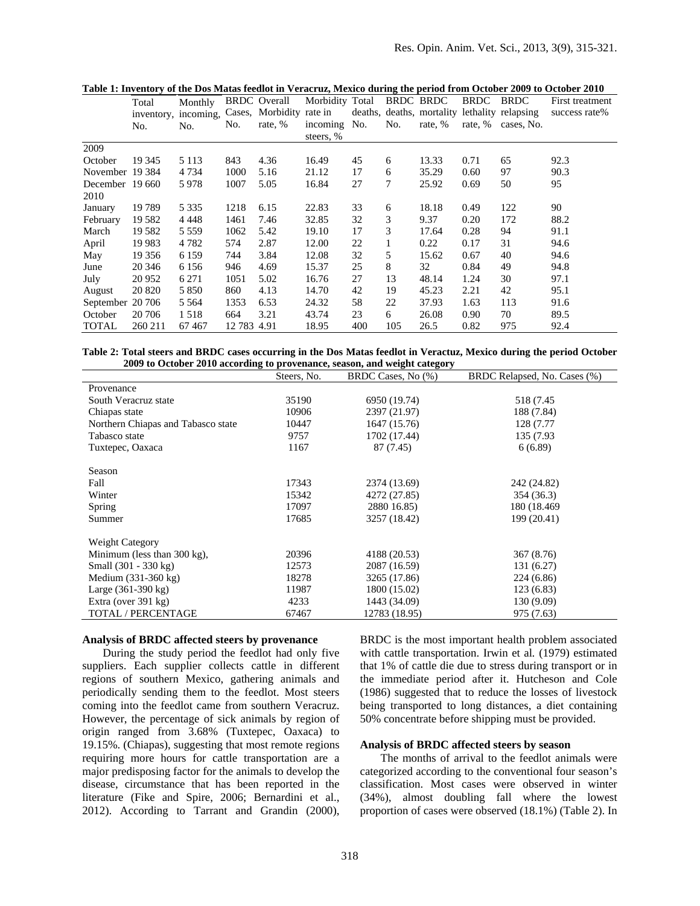|  | Table 1: Inventory of the Dos Matas feedlot in Veracruz, Mexico during the period from October 2009 to October 2010 |
|--|---------------------------------------------------------------------------------------------------------------------|
|  |                                                                                                                     |

|                  | Total   | Monthly |             | <b>BRDC</b> Overall                           | Morbidity Total           |     | BRDC BRDC |         | <b>BRDC</b> | <b>BRDC</b>                                   | First treatment |
|------------------|---------|---------|-------------|-----------------------------------------------|---------------------------|-----|-----------|---------|-------------|-----------------------------------------------|-----------------|
|                  |         |         |             | inventory, incoming, Cases, Morbidity rate in |                           |     |           |         |             | deaths, deaths, mortality lethality relapsing | success rate%   |
|                  | No.     | No.     | No.         | rate, %                                       | incoming No.<br>steers, % |     | No.       | rate, % |             | rate, % cases, No.                            |                 |
| 2009             |         |         |             |                                               |                           |     |           |         |             |                                               |                 |
| October          | 19 3 45 | 5 1 1 3 | 843         | 4.36                                          | 16.49                     | 45  | 6         | 13.33   | 0.71        | 65                                            | 92.3            |
| November 19384   |         | 4 7 3 4 | 1000        | 5.16                                          | 21.12                     | 17  | 6         | 35.29   | 0.60        | 97                                            | 90.3            |
| December 19 660  |         | 5978    | 1007        | 5.05                                          | 16.84                     | 27  | 7         | 25.92   | 0.69        | 50                                            | 95              |
| 2010             |         |         |             |                                               |                           |     |           |         |             |                                               |                 |
| January          | 19789   | 5 3 3 5 | 1218        | 6.15                                          | 22.83                     | 33  | 6         | 18.18   | 0.49        | 122                                           | 90              |
| February         | 19582   | 4 4 4 8 | 1461        | 7.46                                          | 32.85                     | 32  | 3         | 9.37    | 0.20        | 172                                           | 88.2            |
| March            | 19 5 82 | 5 5 5 9 | 1062        | 5.42                                          | 19.10                     | 17  | 3         | 17.64   | 0.28        | 94                                            | 91.1            |
| April            | 19 9 83 | 4 7 8 2 | 574         | 2.87                                          | 12.00                     | 22  | 1         | 0.22    | 0.17        | 31                                            | 94.6            |
| May              | 19 35 6 | 6 1 5 9 | 744         | 3.84                                          | 12.08                     | 32  | 5         | 15.62   | 0.67        | 40                                            | 94.6            |
| June             | 20 34 6 | 6 1 5 6 | 946         | 4.69                                          | 15.37                     | 25  | 8         | 32      | 0.84        | 49                                            | 94.8            |
| July             | 20 952  | 6 2 7 1 | 1051        | 5.02                                          | 16.76                     | 27  | 13        | 48.14   | 1.24        | 30                                            | 97.1            |
| August           | 20 8 20 | 5 8 5 0 | 860         | 4.13                                          | 14.70                     | 42  | 19        | 45.23   | 2.21        | 42                                            | 95.1            |
| September 20 706 |         | 5 5 6 4 | 1353        | 6.53                                          | 24.32                     | 58  | 22        | 37.93   | 1.63        | 113                                           | 91.6            |
| October          | 20 70 6 | 1518    | 664         | 3.21                                          | 43.74                     | 23  | 6         | 26.08   | 0.90        | 70                                            | 89.5            |
| TOTAL            | 260 211 | 67467   | 12 783 4.91 |                                               | 18.95                     | 400 | 105       | 26.5    | 0.82        | 975                                           | 92.4            |

**Table 2: Total steers and BRDC cases occurring in the Dos Matas feedlot in Veractuz, Mexico during the period October 2009 to October 2010 according to provenance, season, and weight category** 

|                                    | Steers, No. | BRDC Cases, No (%) | BRDC Relapsed, No. Cases (%) |
|------------------------------------|-------------|--------------------|------------------------------|
| Provenance                         |             |                    |                              |
| South Veracruz state               | 35190       | 6950 (19.74)       | 518 (7.45)                   |
| Chiapas state                      | 10906       | 2397 (21.97)       | 188 (7.84)                   |
| Northern Chiapas and Tabasco state | 10447       | 1647 (15.76)       | 128 (7.77)                   |
| Tabasco state                      | 9757        | 1702 (17.44)       | 135 (7.93)                   |
| Tuxtepec, Oaxaca                   | 1167        | 87 (7.45)          | 6(6.89)                      |
| Season                             |             |                    |                              |
| Fall                               | 17343       | 2374 (13.69)       | 242 (24.82)                  |
| Winter                             | 15342       | 4272 (27.85)       | 354 (36.3)                   |
| Spring                             | 17097       | 2880 16.85)        | 180 (18.469)                 |
| Summer                             | 17685       | 3257 (18.42)       | 199 (20.41)                  |
|                                    |             |                    |                              |
| <b>Weight Category</b>             |             |                    |                              |
| Minimum (less than 300 kg),        | 20396       | 4188 (20.53)       | 367 (8.76)                   |
| Small (301 - 330 kg)               | 12573       | 2087 (16.59)       | 131 (6.27)                   |
| Medium $(331-360 \text{ kg})$      | 18278       | 3265 (17.86)       | 224 (6.86)                   |
| Large $(361-390 \text{ kg})$       | 11987       | 1800 (15.02)       | 123(6.83)                    |
| Extra (over $391 \text{ kg}$ )     | 4233        | 1443 (34.09)       | 130 (9.09)                   |
| <b>TOTAL / PERCENTAGE</b>          | 67467       | 12783 (18.95)      | 975 (7.63)                   |

# **Analysis of BRDC affected steers by provenance**

During the study period the feedlot had only five suppliers. Each supplier collects cattle in different regions of southern Mexico, gathering animals and periodically sending them to the feedlot. Most steers coming into the feedlot came from southern Veracruz. However, the percentage of sick animals by region of origin ranged from 3.68% (Tuxtepec, Oaxaca) to 19.15%. (Chiapas), suggesting that most remote regions requiring more hours for cattle transportation are a major predisposing factor for the animals to develop the disease, circumstance that has been reported in the literature (Fike and Spire, 2006; Bernardini et al., 2012). According to Tarrant and Grandin (2000),

BRDC is the most important health problem associated with cattle transportation. Irwin et al*.* (1979) estimated that 1% of cattle die due to stress during transport or in the immediate period after it. Hutcheson and Cole (1986) suggested that to reduce the losses of livestock being transported to long distances, a diet containing 50% concentrate before shipping must be provided.

#### **Analysis of BRDC affected steers by season**

The months of arrival to the feedlot animals were categorized according to the conventional four season's classification. Most cases were observed in winter (34%), almost doubling fall where the lowest proportion of cases were observed (18.1%) (Table 2). In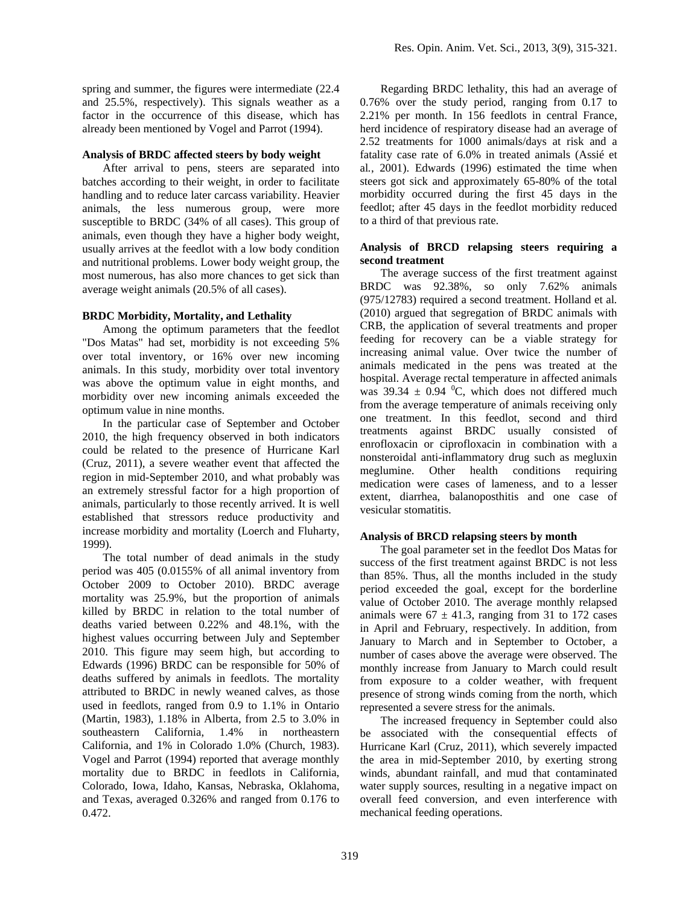spring and summer, the figures were intermediate (22.4 and 25.5%, respectively). This signals weather as a factor in the occurrence of this disease, which has already been mentioned by Vogel and Parrot (1994).

## **Analysis of BRDC affected steers by body weight**

After arrival to pens, steers are separated into batches according to their weight, in order to facilitate handling and to reduce later carcass variability. Heavier animals, the less numerous group, were more susceptible to BRDC (34% of all cases). This group of animals, even though they have a higher body weight, usually arrives at the feedlot with a low body condition and nutritional problems. Lower body weight group, the most numerous, has also more chances to get sick than average weight animals (20.5% of all cases).

# **BRDC Morbidity, Mortality, and Lethality**

Among the optimum parameters that the feedlot "Dos Matas" had set, morbidity is not exceeding 5% over total inventory, or 16% over new incoming animals. In this study, morbidity over total inventory was above the optimum value in eight months, and morbidity over new incoming animals exceeded the optimum value in nine months.

In the particular case of September and October 2010, the high frequency observed in both indicators could be related to the presence of Hurricane Karl (Cruz, 2011), a severe weather event that affected the region in mid-September 2010, and what probably was an extremely stressful factor for a high proportion of animals, particularly to those recently arrived. It is well established that stressors reduce productivity and increase morbidity and mortality (Loerch and Fluharty, 1999).

The total number of dead animals in the study period was 405 (0.0155% of all animal inventory from October 2009 to October 2010). BRDC average mortality was 25.9%, but the proportion of animals killed by BRDC in relation to the total number of deaths varied between 0.22% and 48.1%, with the highest values occurring between July and September 2010. This figure may seem high, but according to Edwards (1996) BRDC can be responsible for 50% of deaths suffered by animals in feedlots. The mortality attributed to BRDC in newly weaned calves, as those used in feedlots, ranged from 0.9 to 1.1% in Ontario (Martin, 1983), 1.18% in Alberta, from 2.5 to 3.0% in southeastern California, 1.4% in northeastern California, and 1% in Colorado 1.0% (Church, 1983). Vogel and Parrot (1994) reported that average monthly mortality due to BRDC in feedlots in California, Colorado, Iowa, Idaho, Kansas, Nebraska, Oklahoma, and Texas, averaged 0.326% and ranged from 0.176 to 0.472.

Regarding BRDC lethality, this had an average of 0.76% over the study period, ranging from 0.17 to 2.21% per month. In 156 feedlots in central France, herd incidence of respiratory disease had an average of 2.52 treatments for 1000 animals/days at risk and a fatality case rate of 6.0% in treated animals (Assié et al*.*, 2001). Edwards (1996) estimated the time when steers got sick and approximately 65-80% of the total morbidity occurred during the first 45 days in the feedlot; after 45 days in the feedlot morbidity reduced to a third of that previous rate.

# **Analysis of BRCD relapsing steers requiring a second treatment**

The average success of the first treatment against BRDC was 92.38%, so only 7.62% animals (975/12783) required a second treatment. Holland et al*.* (2010) argued that segregation of BRDC animals with CRB, the application of several treatments and proper feeding for recovery can be a viable strategy for increasing animal value. Over twice the number of animals medicated in the pens was treated at the hospital. Average rectal temperature in affected animals was  $39.34 \pm 0.94$  °C, which does not differed much from the average temperature of animals receiving only one treatment. In this feedlot, second and third treatments against BRDC usually consisted of enrofloxacin or ciprofloxacin in combination with a nonsteroidal anti-inflammatory drug such as megluxin meglumine. Other health conditions requiring medication were cases of lameness, and to a lesser extent, diarrhea, balanoposthitis and one case of vesicular stomatitis.

# **Analysis of BRCD relapsing steers by month**

The goal parameter set in the feedlot Dos Matas for success of the first treatment against BRDC is not less than 85%. Thus, all the months included in the study period exceeded the goal, except for the borderline value of October 2010. The average monthly relapsed animals were  $67 \pm 41.3$ , ranging from 31 to 172 cases in April and February, respectively. In addition, from January to March and in September to October, a number of cases above the average were observed. The monthly increase from January to March could result from exposure to a colder weather, with frequent presence of strong winds coming from the north, which represented a severe stress for the animals.

The increased frequency in September could also be associated with the consequential effects of Hurricane Karl (Cruz, 2011), which severely impacted the area in mid-September 2010, by exerting strong winds, abundant rainfall, and mud that contaminated water supply sources, resulting in a negative impact on overall feed conversion, and even interference with mechanical feeding operations.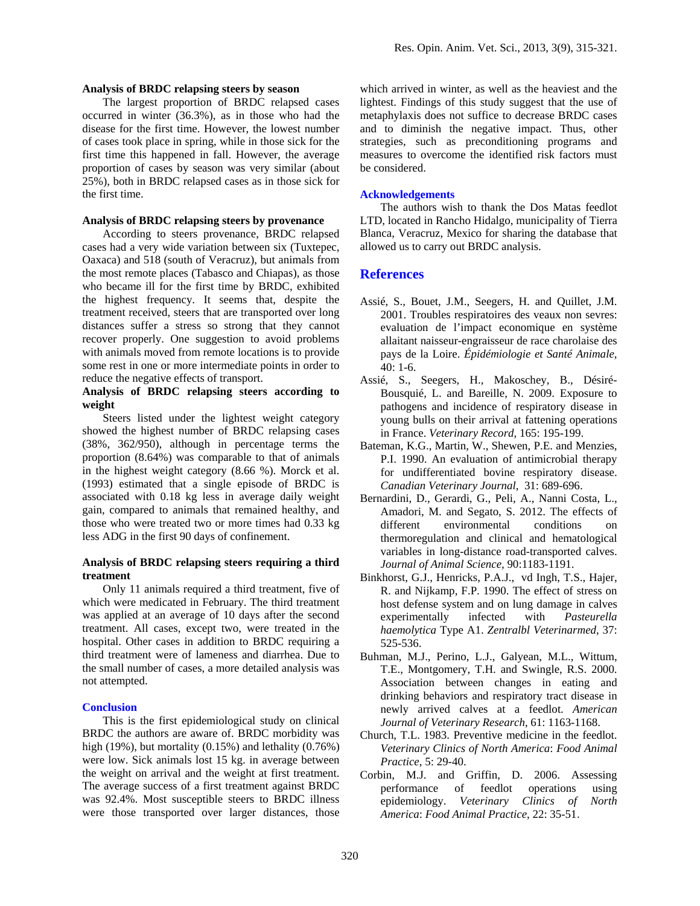#### **Analysis of BRDC relapsing steers by season**

The largest proportion of BRDC relapsed cases occurred in winter (36.3%), as in those who had the disease for the first time. However, the lowest number of cases took place in spring, while in those sick for the first time this happened in fall. However, the average proportion of cases by season was very similar (about 25%), both in BRDC relapsed cases as in those sick for the first time.

# **Analysis of BRDC relapsing steers by provenance**

According to steers provenance, BRDC relapsed cases had a very wide variation between six (Tuxtepec, Oaxaca) and 518 (south of Veracruz), but animals from the most remote places (Tabasco and Chiapas), as those who became ill for the first time by BRDC, exhibited the highest frequency. It seems that, despite the treatment received, steers that are transported over long distances suffer a stress so strong that they cannot recover properly. One suggestion to avoid problems with animals moved from remote locations is to provide some rest in one or more intermediate points in order to reduce the negative effects of transport.

# **Analysis of BRDC relapsing steers according to weight**

Steers listed under the lightest weight category showed the highest number of BRDC relapsing cases (38%, 362/950), although in percentage terms the proportion (8.64%) was comparable to that of animals in the highest weight category (8.66 %). Morck et al. (1993) estimated that a single episode of BRDC is associated with 0.18 kg less in average daily weight gain, compared to animals that remained healthy, and those who were treated two or more times had 0.33 kg less ADG in the first 90 days of confinement.

## **Analysis of BRDC relapsing steers requiring a third treatment**

Only 11 animals required a third treatment, five of which were medicated in February. The third treatment was applied at an average of 10 days after the second treatment. All cases, except two, were treated in the hospital. Other cases in addition to BRDC requiring a third treatment were of lameness and diarrhea. Due to the small number of cases, a more detailed analysis was not attempted.

#### **Conclusion**

This is the first epidemiological study on clinical BRDC the authors are aware of. BRDC morbidity was high (19%), but mortality (0.15%) and lethality (0.76%) were low. Sick animals lost 15 kg. in average between the weight on arrival and the weight at first treatment. The average success of a first treatment against BRDC was 92.4%. Most susceptible steers to BRDC illness were those transported over larger distances, those

which arrived in winter, as well as the heaviest and the lightest. Findings of this study suggest that the use of metaphylaxis does not suffice to decrease BRDC cases and to diminish the negative impact. Thus, other strategies, such as preconditioning programs and measures to overcome the identified risk factors must be considered.

## **Acknowledgements**

The authors wish to thank the Dos Matas feedlot LTD, located in Rancho Hidalgo, municipality of Tierra Blanca, Veracruz, Mexico for sharing the database that allowed us to carry out BRDC analysis.

### **References**

- Assié, S., Bouet, J.M., Seegers, H. and Quillet, J.M. 2001. Troubles respiratoires des veaux non sevres: evaluation de l'impact economique en système allaitant naisseur-engraisseur de race charolaise des pays de la Loire. *Épidémiologie et Santé Animale*, 40: 1-6.
- Assié, S., Seegers, H., Makoschey, B., Désiré-Bousquié, L. and Bareille, N. 2009. Exposure to pathogens and incidence of respiratory disease in young bulls on their arrival at fattening operations in France. *Veterinary Record*, 165: 195-199.
- Bateman, K.G., Martin, W., Shewen, P.E. and Menzies, P.I. 1990. An evaluation of antimicrobial therapy for undifferentiated bovine respiratory disease. *Canadian Veterinary Journal*, 31: 689-696.
- Bernardini, D., Gerardi, G., Peli, A., Nanni Costa, L., Amadori, M. and Segato, S. 2012. The effects of different environmental conditions on thermoregulation and clinical and hematological variables in long-distance road-transported calves. *Journal of Animal Science,* 90:1183-1191.
- Binkhorst, G.J., Henricks, P.A.J., vd Ingh, T.S., Hajer, R. and Nijkamp, F.P. 1990. The effect of stress on host defense system and on lung damage in calves experimentally infected with *Pasteurella haemolytica* Type A1. *Zentralbl Veterinarmed*, 37: 525-536.
- Buhman, M.J., Perino, L.J., Galyean, M.L., Wittum, T.E., Montgomery, T.H. and Swingle, R.S. 2000. Association between changes in eating and drinking behaviors and respiratory tract disease in newly arrived calves at a feedlot. *American Journal of Veterinary Research*, 61: 1163-1168.
- Church, T.L. 1983. Preventive medicine in the feedlot. *Veterinary Clinics of North America*: *Food Animal Practice*, 5: 29-40.
- Corbin, M.J. and Griffin, D. 2006. Assessing performance of feedlot operations using epidemiology. *Veterinary Clinics of North America*: *Food Animal Practice*, 22: 35-51.